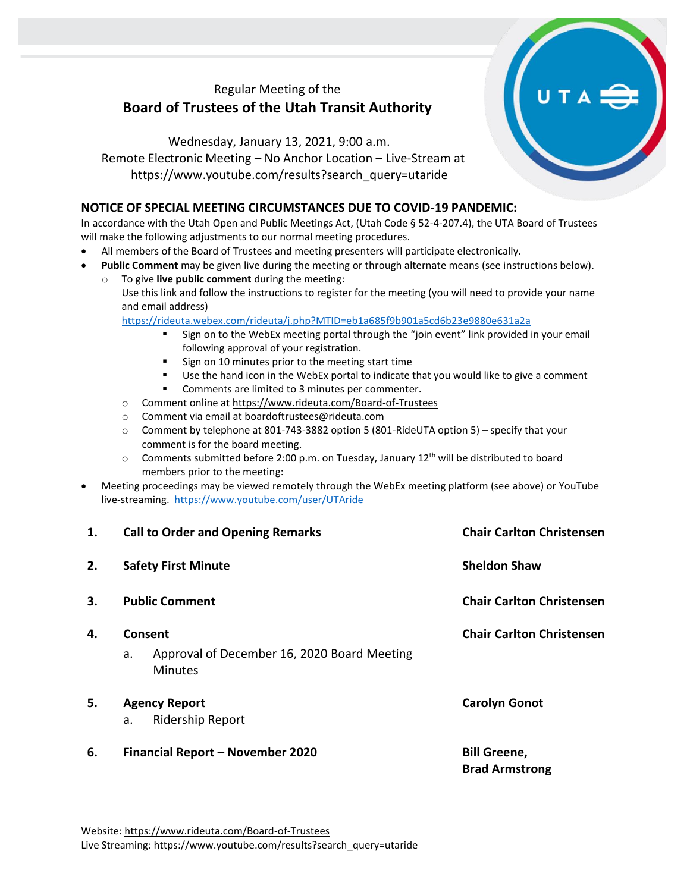# Regular Meeting of the **Board of Trustees of the Utah Transit Authority**

Wednesday, January 13, 2021, 9:00 a.m. Remote Electronic Meeting – No Anchor Location – Live-Stream at [https://www.youtube.com/results?search\\_query=utaride](https://www.youtube.com/results?search_query=utaride)

### **NOTICE OF SPECIAL MEETING CIRCUMSTANCES DUE TO COVID-19 PANDEMIC:**

In accordance with the Utah Open and Public Meetings Act, (Utah Code § 52-4-207.4), the UTA Board of Trustees will make the following adjustments to our normal meeting procedures.

- All members of the Board of Trustees and meeting presenters will participate electronically.
- **Public Comment** may be given live during the meeting or through alternate means (see instructions below).
	- To give live public comment during the meeting: Use this link and follow the instructions to register for the meeting (you will need to provide your name and email address)

<https://rideuta.webex.com/rideuta/j.php?MTID=eb1a685f9b901a5cd6b23e9880e631a2a>

- Sign on to the WebEx meeting portal through the "join event" link provided in your email following approval of your registration.
- Sign on 10 minutes prior to the meeting start time
- Use the hand icon in the WebEx portal to indicate that you would like to give a comment
- Comments are limited to 3 minutes per commenter.
- o Comment online a[t https://www.rideuta.com/Board-of-Trustees](https://www.rideuta.com/Board-of-Trustees)
- o Comment via email at [boardoftrustees@rideuta.com](mailto:boardoftrustees@rideuta.com)
- $\circ$  Comment by telephone at 801-743-3882 option 5 (801-RideUTA option 5) specify that your comment is for the board meeting.
- $\circ$  Comments submitted before 2:00 p.m. on Tuesday, January 12<sup>th</sup> will be distributed to board members prior to the meeting:
- Meeting proceedings may be viewed remotely through the WebEx meeting platform (see above) or YouTube live-streaming. <https://www.youtube.com/user/UTAride>

| 1. | <b>Call to Order and Opening Remarks</b>                            | <b>Chair Carlton Christensen</b>             |
|----|---------------------------------------------------------------------|----------------------------------------------|
| 2. | <b>Safety First Minute</b>                                          | <b>Sheldon Shaw</b>                          |
| 3. | <b>Public Comment</b>                                               | <b>Chair Carlton Christensen</b>             |
| 4. | Consent                                                             | <b>Chair Carlton Christensen</b>             |
|    | Approval of December 16, 2020 Board Meeting<br>a.<br><b>Minutes</b> |                                              |
| 5. | <b>Agency Report</b>                                                | <b>Carolyn Gonot</b>                         |
|    | <b>Ridership Report</b><br>a.                                       |                                              |
| 6. | Financial Report - November 2020                                    | <b>Bill Greene,</b><br><b>Brad Armstrong</b> |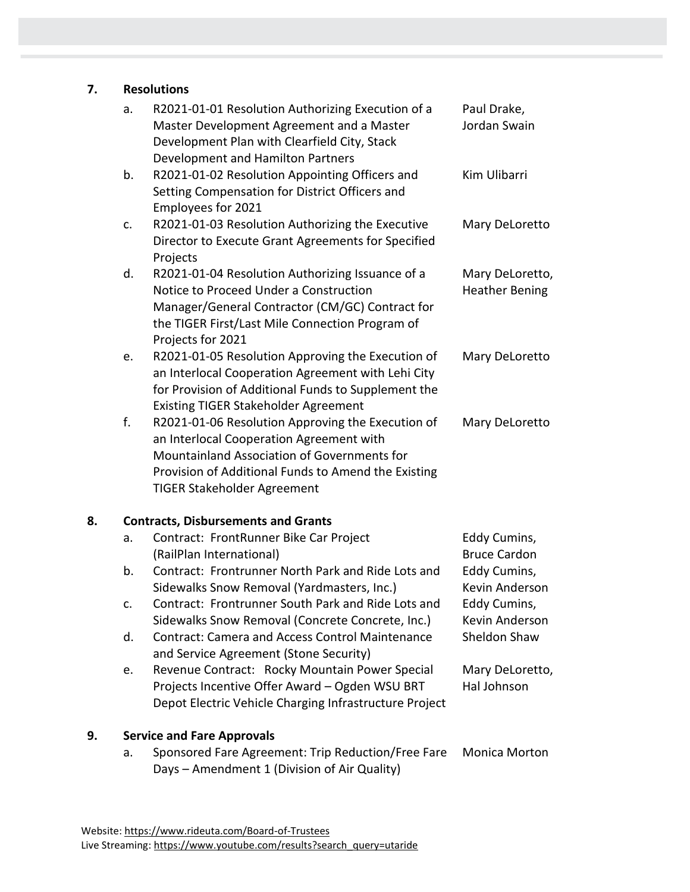# **7. Resolutions**

|    | a. | R2021-01-01 Resolution Authorizing Execution of a<br>Master Development Agreement and a Master<br>Development Plan with Clearfield City, Stack<br>Development and Hamilton Partners                                                       | Paul Drake,<br>Jordan Swain              |  |  |
|----|----|-------------------------------------------------------------------------------------------------------------------------------------------------------------------------------------------------------------------------------------------|------------------------------------------|--|--|
|    | b. | R2021-01-02 Resolution Appointing Officers and<br>Setting Compensation for District Officers and<br>Employees for 2021                                                                                                                    | Kim Ulibarri                             |  |  |
|    | c. | R2021-01-03 Resolution Authorizing the Executive<br>Director to Execute Grant Agreements for Specified<br>Projects                                                                                                                        | Mary DeLoretto                           |  |  |
|    | d. | R2021-01-04 Resolution Authorizing Issuance of a<br>Notice to Proceed Under a Construction<br>Manager/General Contractor (CM/GC) Contract for<br>the TIGER First/Last Mile Connection Program of<br>Projects for 2021                     | Mary DeLoretto,<br><b>Heather Bening</b> |  |  |
|    | е. | R2021-01-05 Resolution Approving the Execution of<br>an Interlocal Cooperation Agreement with Lehi City<br>for Provision of Additional Funds to Supplement the<br><b>Existing TIGER Stakeholder Agreement</b>                             | Mary DeLoretto                           |  |  |
|    | f. | R2021-01-06 Resolution Approving the Execution of<br>an Interlocal Cooperation Agreement with<br>Mountainland Association of Governments for<br>Provision of Additional Funds to Amend the Existing<br><b>TIGER Stakeholder Agreement</b> | Mary DeLoretto                           |  |  |
| 8. |    | <b>Contracts, Disbursements and Grants</b>                                                                                                                                                                                                |                                          |  |  |
|    | a. | Contract: FrontRunner Bike Car Project<br>(RailPlan International)                                                                                                                                                                        | Eddy Cumins,<br><b>Bruce Cardon</b>      |  |  |
|    | b. | Contract: Frontrunner North Park and Ride Lots and<br>Sidewalks Snow Removal (Yardmasters, Inc.)                                                                                                                                          | Eddy Cumins,<br>Kevin Anderson           |  |  |
|    | c. | Contract: Frontrunner South Park and Ride Lots and<br>Sidewalks Snow Removal (Concrete Concrete, Inc.)                                                                                                                                    | Eddy Cumins,<br>Kevin Anderson           |  |  |
|    | d. | <b>Contract: Camera and Access Control Maintenance</b><br>and Service Agreement (Stone Security)                                                                                                                                          | Sheldon Shaw                             |  |  |
|    | е. | Revenue Contract: Rocky Mountain Power Special<br>Projects Incentive Offer Award - Ogden WSU BRT<br>Depot Electric Vehicle Charging Infrastructure Project                                                                                | Mary DeLoretto,<br>Hal Johnson           |  |  |
| 9. |    | <b>Service and Fare Approvals</b>                                                                                                                                                                                                         |                                          |  |  |
|    | а. | Sponsored Fare Agreement: Trip Reduction/Free Fare<br>Days - Amendment 1 (Division of Air Quality)                                                                                                                                        | <b>Monica Morton</b>                     |  |  |
|    |    |                                                                                                                                                                                                                                           |                                          |  |  |